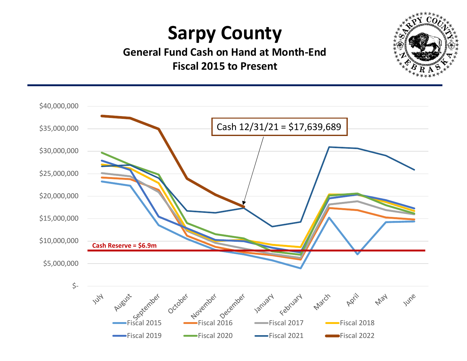## Sarpy County

General Fund Cash on Hand at Month-End Fiscal 2015 to Present